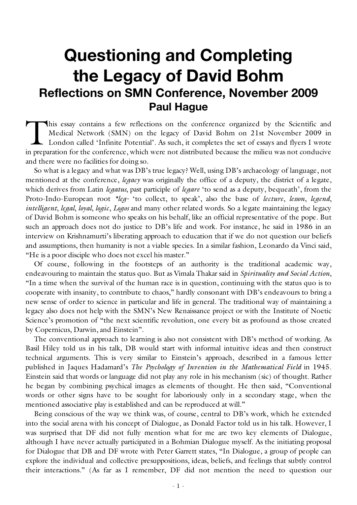# **Questioning and Completing the Legacy of David Bohm Reflections on SMN Conference, November 2009 Paul Hague**

his essay contains a few reflections on the conference organized by the Scientific and Medical Network (SMN) on the legacy of David Bohm on 21st November 2009 in London called 'Infinite Potential'. As such, it completes the set of essays and flyers I wrote This essay contains a few reflections on the conference organized by the Scientific and Medical Network (SMN) on the legacy of David Bohm on 21st November 2009 in London called 'Infinite Potential'. As such, it completes t and there were no facilities for doing so.

So what is a legacy and what was DB's true legacy? Well, using DB's archaeology of language, not mentioned at the conference, *legacy* was originally the office of a deputy, the district of a legate, which derives from Latin *legatus*, past participle of *legare* 'to send as a deputy, bequeath', from the Proto-Indo-European root *\*leg-* 'to collect, to speak', also the base of *lecture*, *lesson*, *legend*, *intelligent*, *legal*, *loyal*, *logic*, *Logos* and many other related words. So a legate maintaining the legacy of David Bohm is someone who speaks on his behalf, like an official representative of the pope. But such an approach does not do justice to DB's life and work. For instance, he said in 1986 in an interview on Krishnamurti's liberating approach to education that if we do not question our beliefs and assumptions, then humanity is not a viable species. In a similar fashion, Leonardo da Vinci said, "He is a poor disciple who does not excel his master."

Of course, following in the footsteps of an authority is the traditional academic way, endeavouring to maintain the status quo. But as Vimala Thakar said in *Spirituality and Social Action*, "In a time when the survival of the human race is in question, continuing with the status quo is to cooperate with insanity, to contribute to chaos," hardly consonant with DB's endeavours to bring a new sense of order to science in particular and life in general. The traditional way of maintaining a legacy also does not help with the SMN's New Renaissance project or with the Institute of Noetic Science's promotion of "the next scientific revolution, one every bit as profound as those created by Copernicus, Darwin, and Einstein".

The conventional approach to learning is also not consistent with DB's method of working. As Basil Hiley told us in his talk, DB would start with informal intuitive ideas and then construct technical arguments. This is very similar to Einstein's approach, described in a famous letter published in Jaques Hadamard's *The Psychology of Invention in the Mathematical Field* in 1945. Einstein said that words or language did not play any role in his mechanism (sic) of thought. Rather he began by combining psychical images as elements of thought. He then said, "Conventional words or other signs have to be sought for laboriously only in a secondary stage, when the mentioned associative play is established and can be reproduced at will."

Being conscious of the way we think was, of course, central to DB's work, which he extended into the social arena with his concept of Dialogue, as Donald Factor told us in his talk. However, I was surprised that DF did not fully mention what for me are two key elements of Dialogue, although I have never actually participated in a Bohmian Dialogue myself. As the initiating proposal for Dialogue that DB and DF wrote with Peter Garrett states, "In Dialogue, a group of people can explore the individual and collective presuppositions, ideas, beliefs, and feelings that subtly control their interactions." (As far as I remember, DF did not mention the need to question our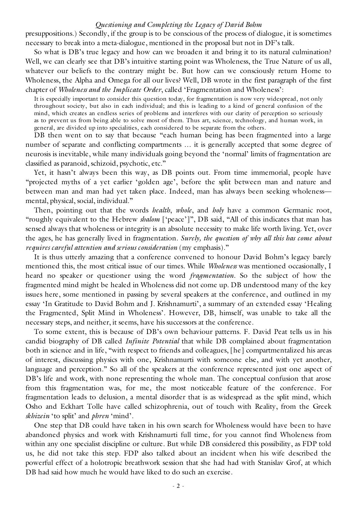presuppositions.) Secondly, if the group is to be conscious of the process of dialogue, it is sometimes necessary to break into a meta-dialogue, mentioned in the proposal but not in DF's talk.

So what is DB's true legacy and how can we broaden it and bring it to its natural culmination? Well, we can clearly see that DB's intuitive starting point was Wholeness, the True Nature of us all, whatever our beliefs to the contrary might be. But how can we consciously return Home to Wholeness, the Alpha and Omega for all our lives? Well, DB wrote in the first paragraph of the first chapter of *Wholeness and the Implicate Order*, called 'Fragmentation and Wholeness':

It is especially important to consider this question today, for fragmentation is now very widespread, not only throughout society, but also in each individual; and this is leading to a kind of general confusion of the mind, which creates an endless series of problems and interferes with our clarity of perception so seriously as to prevent us from being able to solve most of them. Thus art, science, technology, and human work, in general, are divided up into specialities, each considered to be separate from the others.

DB then went on to say that because "each human being has been fragmented into a large number of separate and conflicting compartments … it is generally accepted that some degree of neurosis is inevitable, while many individuals going beyond the 'normal' limits of fragmentation are classified as paranoid, schizoid, psychotic, etc."

Yet, it hasn't always been this way, as DB points out. From time immemorial, people have "projected myths of a yet earlier 'golden age', before the split between man and nature and between man and man had yet taken place. Indeed, man has always been seeking wholeness mental, physical, social, individual."

Then, pointing out that the words *health*, *whole*, and *holy* have a common Germanic root, "roughly equivalent to the Hebrew *shalom* ['peace']", DB said, "All of this indicates that man has sensed always that wholeness or integrity is an absolute necessity to make life worth living. Yet, over the ages, he has generally lived in fragmentation. *Surely, the question of why all this has come about requires careful attention and serious consideration* (my emphasis)."

It is thus utterly amazing that a conference convened to honour David Bohm's legacy barely mentioned this, the most critical issue of our times. While *Wholeness* was mentioned occasionally, I heard no speaker or questioner using the word *fragmentation*. So the subject of how the fragmented mind might be healed in Wholeness did not come up. DB understood many of the key issues here, some mentioned in passing by several speakers at the conference, and outlined in my essay 'In Gratitude to David Bohm and J. Krishnamurti', a summary of an extended essay 'Healing the Fragmented, Split Mind in Wholeness'. However, DB, himself, was unable to take all the necessary steps, and neither, it seems, have his successors at the conference.

To some extent, this is because of DB's own behaviour patterns. F. David Peat tells us in his candid biography of DB called *Infinite Potential* that while DB complained about fragmentation both in science and in life, "with respect to friends and colleagues, [he] compartmentalized his areas of interest, discussing physics with one, Krishnamurti with someone else, and with yet another, language and perception." So all of the speakers at the conference represented just one aspect of DB's life and work, with none representing the whole man. The conceptual confusion that arose from this fragmentation was, for me, the most noticeable feature of the conference. For fragmentation leads to delusion, a mental disorder that is as widespread as the split mind, which Osho and Eckhart Tolle have called schizophrenia, out of touch with Reality, from the Greek *skhizein* 'to split' and *phren* 'mind'.

One step that DB could have taken in his own search for Wholeness would have been to have abandoned physics and work with Krishnamurti full time, for you cannot find Wholeness from within any one specialist discipline or culture. But while DB considered this possibility, as FDP told us, he did not take this step. FDP also talked about an incident when his wife described the powerful effect of a holotropic breathwork session that she had had with Stanislav Grof, at which DB had said how much he would have liked to do such an exercise.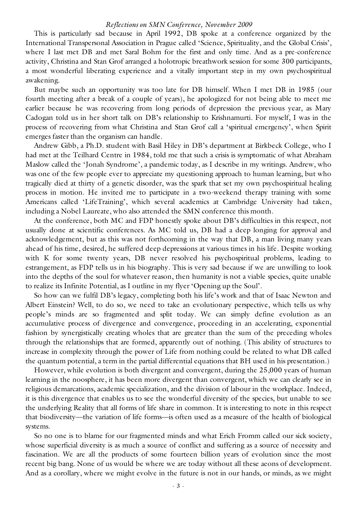# *Reflections on SMN Conference, November 2009*

This is particularly sad because in April 1992, DB spoke at a conference organized by the International Transpersonal Association in Prague called 'Science, Spirituality, and the Global Crisis', where I last met DB and met Saral Bohm for the first and only time. And as a pre-conference activity, Christina and Stan Grof arranged a holotropic breathwork session for some 300 participants, a most wonderful liberating experience and a vitally important step in my own psychospiritual awakening.

But maybe such an opportunity was too late for DB himself. When I met DB in 1985 (our fourth meeting after a break of a couple of years), he apologized for not being able to meet me earlier because he was recovering from long periods of depression the previous year, as Mary Cadogan told us in her short talk on DB's relationship to Krishnamurti. For myself, I was in the process of recovering from what Christina and Stan Grof call a 'spiritual emergency', when Spirit emerges faster than the organism can handle.

Andrew Gibb, a Ph.D. student with Basil Hiley in DB's department at Birkbeck College, who I had met at the Teilhard Centre in 1984, told me that such a crisis is symptomatic of what Abraham Maslow called the 'Jonah Syndrome', a pandemic today, as I describe in my writings. Andrew, who was one of the few people ever to appreciate my questioning approach to human learning, but who tragically died at thirty of a genetic disorder, was the spark that set my own psychospiritual healing process in motion. He invited me to participate in a two-weekend therapy training with some Americans called 'LifeTraining', which several academics at Cambridge University had taken, including a Nobel Laureate, who also attended the SMN conference this month.

At the conference, both MC and FDP honestly spoke about DB's difficulties in this respect, not usually done at scientific conferences. As MC told us, DB had a deep longing for approval and acknowledgement, but as this was not forthcoming in the way that DB, a man living many years ahead of his time, desired, he suffered deep depressions at various times in his life. Despite working with K for some twenty years, DB never resolved his psychospiritual problems, leading to estrangement, as FDP tells us in his biography. This is very sad because if we are unwilling to look into the depths of the soul for whatever reason, then humanity is not a viable species, quite unable to realize its Infinite Potential, as I outline in my flyer 'Opening up the Soul'.

So how can we fulfil DB's legacy, completing both his life's work and that of Isaac Newton and Albert Einstein? Well, to do so, we need to take an evolutionary perspective, which tells us why people's minds are so fragmented and split today. We can simply define evolution as an accumulative process of divergence and convergence, proceeding in an accelerating, exponential fashion by synergistically creating wholes that are greater than the sum of the preceding wholes through the relationships that are formed, apparently out of nothing. (This ability of structures to increase in complexity through the power of Life from nothing could be related to what DB called the quantum potential, a term in the partial differential equations that BH used in his presentation.)

However, while evolution is both divergent and convergent, during the 25,000 years of human learning in the noosphere, it has been more divergent than convergent, which we can clearly see in religious demarcations, academic specialization, and the division of labour in the workplace. Indeed, it is this divergence that enables us to see the wonderful diversity of the species, but unable to see the underlying Reality that all forms of life share in common. It is interesting to note in this respect that biodiversity—the variation of life forms—is often used as a measure of the health of biological systems.

So no one is to blame for our fragmented minds and what Erich Fromm called our sick society, whose superficial diversity is as much a source of conflict and suffering as a source of necessity and fascination. We are all the products of some fourteen billion years of evolution since the most recent big bang. None of us would be where we are today without all these aeons of development. And as a corollary, where we might evolve in the future is not in our hands, or minds, as we might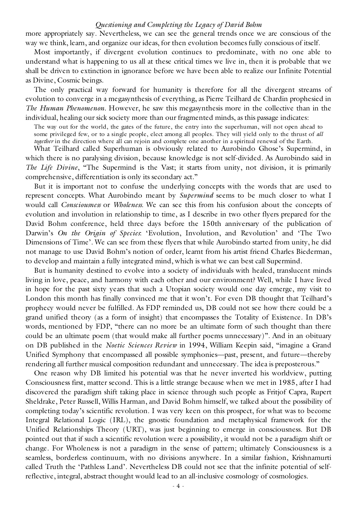more appropriately say. Nevertheless, we can see the general trends once we are conscious of the way we think, learn, and organize our ideas, for then evolution becomes fully conscious of itself.

Most importantly, if divergent evolution continues to predominate, with no one able to understand what is happening to us all at these critical times we live in, then it is probable that we shall be driven to extinction in ignorance before we have been able to realize our Infinite Potential as Divine, Cosmic beings.

The only practical way forward for humanity is therefore for all the divergent streams of evolution to converge in a megasynthesis of everything, as Pierre Teilhard de Chardin prophesied in *The Human Phenomenon*. However, he saw this megasynthesis more in the collective than in the individual, healing our sick society more than our fragmented minds, as this passage indicates:

The way out for the world, the gates of the future, the entry into the superhuman, will not open ahead to some privileged few, or to a single people, elect among all peoples. They will yield only to the thrust of *all together* in the direction where all can rejoin and complete one another in a spiritual renewal of the Earth.

What Teilhard called Superhuman is obviously related to Aurobindo Ghose's Supermind, in which there is no paralysing division, because knowledge is not self-divided. As Aurobindo said in *The Life Divine*, "The Supermind is the Vast; it starts from unity, not division, it is primarily comprehensive, differentiation is only its secondary act."

But it is important not to confuse the underlying concepts with the words that are used to represent concepts. What Aurobindo meant by *Supermind* seems to be much closer to what I would call *Consciousness* or *Wholeness*. We can see this from his confusion about the concepts of evolution and involution in relationship to time, as I describe in two other flyers prepared for the David Bohm conference, held three days before the 150th anniversary of the publication of Darwin's *On the Origin of Species*: 'Evolution, Involution, and Revolution' and 'The Two Dimensions of Time'. We can see from these flyers that while Aurobindo started from unity, he did not manage to use David Bohm's notion of order, learnt from his artist friend Charles Biederman, to develop and maintain a fully integrated mind, which is what we can best call Supermind.

But is humanity destined to evolve into a society of individuals with healed, translucent minds living in love, peace, and harmony with each other and our environment? Well, while I have lived in hope for the past sixty years that such a Utopian society would one day emerge, my visit to London this month has finally convinced me that it won't. For even DB thought that Teilhard's prophecy would never be fulfilled. As FDP reminded us, DB could not see how there could be a grand unified theory (as a form of insight) that encompasses the Totality of Existence. In DB's words, mentioned by FDP, "there can no more be an ultimate form of such thought than there could be an ultimate poem (that would make all further poems unnecessary)". And in an obituary on DB published in the *Noetic Sciences Review* in 1994, William Keepin said, "imagine a Grand Unified Symphony that encompassed all possible symphonies—past, present, and future—thereby rendering all further musical composition redundant and unnecessary. The idea is preposterous."

One reason why DB limited his potential was that he never inverted his worldview, putting Consciousness first, matter second. This is a little strange because when we met in 1985, after I had discovered the paradigm shift taking place in science through such people as Fritjof Capra, Rupert Sheldrake, Peter Russell, Willis Harman, and David Bohm himself, we talked about the possibility of completing today's scientific revolution. I was very keen on this prospect, for what was to become Integral Relational Logic (IRL), the gnostic foundation and metaphysical framework for the Unified Relationships Theory (URT), was just beginning to emerge in consciousness. But DB pointed out that if such a scientific revolution were a possibility, it would not be a paradigm shift or change. For Wholeness is not a paradigm in the sense of pattern; ultimately Consciousness is a seamless, borderless continuum, with no divisions anywhere. In a similar fashion, Krishnamurti called Truth the 'Pathless Land'. Nevertheless DB could not see that the infinite potential of selfreflective, integral, abstract thought would lead to an all-inclusive cosmology of cosmologies.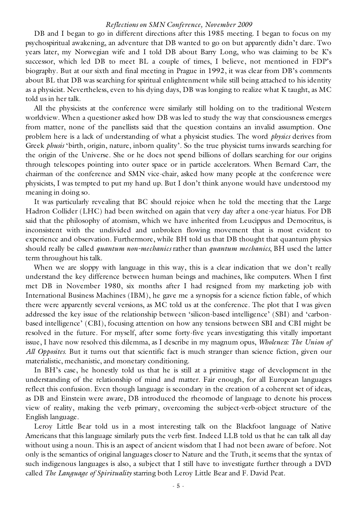## *Reflections on SMN Conference, November 2009*

DB and I began to go in different directions after this 1985 meeting. I began to focus on my psychospiritual awakening, an adventure that DB wanted to go on but apparently didn't dare. Two years later, my Norwegian wife and I told DB about Barry Long, who was claiming to be K's successor, which led DB to meet BL a couple of times, I believe, not mentioned in FDP's biography. But at our sixth and final meeting in Prague in 1992, it was clear from DB's comments about BL that DB was searching for spiritual enlightenment while still being attached to his identity as a physicist. Nevertheless, even to his dying days, DB was longing to realize what K taught, as MC told us in her talk.

All the physicists at the conference were similarly still holding on to the traditional Western worldview. When a questioner asked how DB was led to study the way that consciousness emerges from matter, none of the panellists said that the question contains an invalid assumption. One problem here is a lack of understanding of what a physicist studies. The word *physics* derives from Greek *phusis* 'birth, origin, nature, inborn quality'. So the true physicist turns inwards searching for the origin of the Universe. She or he does not spend billions of dollars searching for our origins through telescopes pointing into outer space or in particle accelerators. When Bernard Carr, the chairman of the conference and SMN vice-chair, asked how many people at the conference were physicists, I was tempted to put my hand up. But I don't think anyone would have understood my meaning in doing so.

It was particularly revealing that BC should rejoice when he told the meeting that the Large Hadron Collider (LHC) had been switched on again that very day after a one-year hiatus. For DB said that the philosophy of atomism, which we have inherited from Leucippus and Democritus, is inconsistent with the undivided and unbroken flowing movement that is most evident to experience and observation. Furthermore, while BH told us that DB thought that quantum physics should really be called *quantum non-mechanics* rather than *quantum mechanics*, BH used the latter term throughout his talk.

When we are sloppy with language in this way, this is a clear indication that we don't really understand the key difference between human beings and machines, like computers. When I first met DB in November 1980, six months after I had resigned from my marketing job with International Business Machines (IBM), he gave me a synopsis for a science fiction fable, of which there were apparently several versions, as MC told us at the conference. The plot that I was given addressed the key issue of the relationship between 'silicon-based intelligence' (SBI) and 'carbonbased intelligence' (CBI), focusing attention on how any tensions between SBI and CBI might be resolved in the future. For myself, after some forty-five years investigating this vitally important issue, I have now resolved this dilemma, as I describe in my magnum opus, *Wholeness: The Union of All Opposites*. But it turns out that scientific fact is much stranger than science fiction, given our materialistic, mechanistic, and monetary conditioning.

In BH's case, he honestly told us that he is still at a primitive stage of development in the understanding of the relationship of mind and matter. Fair enough, for all European languages reflect this confusion. Even though language is secondary in the creation of a coherent set of ideas, as DB and Einstein were aware, DB introduced the rheomode of language to denote his process view of reality, making the verb primary, overcoming the subject-verb-object structure of the English language.

Leroy Little Bear told us in a most interesting talk on the Blackfoot language of Native Americans that this language similarly puts the verb first. Indeed LLB told us that he can talk all day without using a noun. This is an aspect of ancient wisdom that I had not been aware of before. Not only is the semantics of original languages closer to Nature and the Truth, it seems that the syntax of such indigenous languages is also, a subject that I still have to investigate further through a DVD called *The Language of Spirituality* starring both Leroy Little Bear and F. David Peat.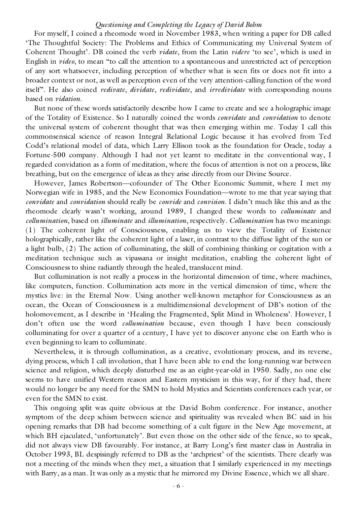For myself, I coined a rheomode word in November 1983, when writing a paper for DB called 'The Thoughtful Society: The Problems and Ethics of Communicating my Universal System of Coherent Thought'. DB coined the verb *vidate*, from the Latin *videre* 'to see', which is used in English in *video*, to mean "to call the attention to a spontaneous and unrestricted act of perception of any sort whatsoever, including perception of whether what is seen fits or does not fit into a broader context or not, as well as perception even of the very attention-calling function of the word itself". He also coined *redivate*, *dividate*, *redividate*, and *irredividate* with corresponding nouns based on *vidation*.

But none of these words satisfactorily describe how I came to create and see a holographic image of the Totality of Existence. So I naturally coined the words *convidate* and *convidation* to denote the universal system of coherent thought that was then emerging within me. Today I call this commonsensical science of reason Integral Relational Logic because it has evolved from Ted Codd's relational model of data, which Larry Ellison took as the foundation for Oracle, today a Fortune-500 company. Although I had not yet learnt to meditate in the conventional way, I regarded convidation as a form of meditation, where the focus of attention is not on a process, like breathing, but on the emergence of ideas as they arise directly from our Divine Source.

However, James Robertson—cofounder of The Other Economic Summit, where I met my Norwegian wife in 1985, and the New Economics Foundation—wrote to me that year saying that *convidate* and *convidation* should really be *convide* and *convision*. I didn't much like this and as the rheomode clearly wasn't working, around 1989, I changed these words to *colluminate* and *collumination*, based on *illuminate* and *illumination*, respectively. *Collumination* has two meanings: (1) The coherent light of Consciousness, enabling us to view the Totality of Existence holographically, rather like the coherent light of a laser, in contrast to the diffuse light of the sun or a light bulb, (2) The action of colluminating, the skill of combining thinking or cogitation with a meditation technique such as vipassana or insight meditation, enabling the coherent light of Consciousness to shine radiantly through the healed, translucent mind.

But collumination is not really a process in the horizontal dimension of time, where machines, like computers, function. Collumination acts more in the vertical dimension of time, where the mystics live: in the Eternal Now. Using another well-known metaphor for Consciousness as an ocean, the Ocean of Consciousness is a multidimensional development of DB's notion of the holomovement, as I describe in 'Healing the Fragmented, Split Mind in Wholeness'. However, I don't often use the word *collumination* because, even though I have been consciously colluminating for over a quarter of a century, I have yet to discover anyone else on Earth who is even beginning to learn to colluminate.

Nevertheless, it is through collumination, as a creative, evolutionary process, and its reverse, dying process, which I call involution, that I have been able to end the long-running war between science and religion, which deeply disturbed me as an eight-year-old in 1950. Sadly, no one else seems to have unified Western reason and Eastern mysticism in this way, for if they had, there would no longer be any need for the SMN to hold Mystics and Scientists conferences each year, or even for the SMN to exist.

This ongoing split was quite obvious at the David Bohm conference. For instance, another symptom of the deep schism between science and spirituality was revealed when BC said in his opening remarks that DB had become something of a cult figure in the New Age movement, at which BH ejaculated, 'unfortunately'. But even those on the other side of the fence, so to speak, did not always view DB favourably. For instance, at Barry Long's first master class in Australia in October 1993, BL despisingly referred to DB as the 'archpriest' of the scientists. There clearly was not a meeting of the minds when they met, a situation that I similarly experienced in my meetings with Barry, as a man. It was only as a mystic that he mirrored my Divine Essence, which we all share.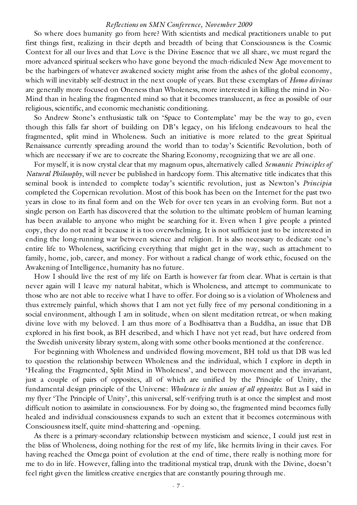## *Reflections on SMN Conference, November 2009*

So where does humanity go from here? With scientists and medical practitioners unable to put first things first, realizing in their depth and breadth of being that Consciousness is the Cosmic Context for all our lives and that Love is the Divine Essence that we all share, we must regard the more advanced spiritual seekers who have gone beyond the much-ridiculed New Age movement to be the harbingers of whatever awakened society might arise from the ashes of the global economy, which will inevitably self-destruct in the next couple of years. But these exemplars of *Homo divinus* are generally more focused on Oneness than Wholeness, more interested in killing the mind in No-Mind than in healing the fragmented mind so that it becomes translucent, as free as possible of our religious, scientific, and economic mechanistic conditioning.

So Andrew Stone's enthusiastic talk on 'Space to Contemplate' may be the way to go, even though this falls far short of building on DB's legacy, on his lifelong endeavours to heal the fragmented, split mind in Wholeness. Such an initiative is more related to the great Spiritual Renaissance currently spreading around the world than to today's Scientific Revolution, both of which are necessary if we are to cocreate the Sharing Economy, recognizing that we are all one.

For myself, it is now crystal clear that my magnum opus, alternatively called *Semantic Principles of Natural Philosophy*, will never be published in hardcopy form. This alternative title indicates that this seminal book is intended to complete today's scientific revolution, just as Newton's *Principia* completed the Copernican revolution. Most of this book has been on the Internet for the past two years in close to its final form and on the Web for over ten years in an evolving form. But not a single person on Earth has discovered that the solution to the ultimate problem of human learning has been available to anyone who might be searching for it. Even when I give people a printed copy, they do not read it because it is too overwhelming. It is not sufficient just to be interested in ending the long-running war between science and religion. It is also necessary to dedicate one's entire life to Wholeness, sacrificing everything that might get in the way, such as attachment to family, home, job, career, and money. For without a radical change of work ethic, focused on the Awakening of Intelligence, humanity has no future.

How I should live the rest of my life on Earth is however far from clear. What is certain is that never again will I leave my natural habitat, which is Wholeness, and attempt to communicate to those who are not able to receive what I have to offer. For doing so is a violation of Wholeness and thus extremely painful, which shows that I am not yet fully free of my personal conditioning in a social environment, although I am in solitude, when on silent meditation retreat, or when making divine love with my beloved. I am thus more of a Bodhisattva than a Buddha, an issue that DB explored in his first book, as BH described, and which I have not yet read, but have ordered from the Swedish university library system, along with some other books mentioned at the conference.

For beginning with Wholeness and undivided flowing movement, BH told us that DB was led to question the relationship between Wholeness and the individual, which I explore in depth in 'Healing the Fragmented, Split Mind in Wholeness', and between movement and the invariant, just a couple of pairs of opposites, all of which are unified by the Principle of Unity, the fundamental design principle of the Universe: *Wholeness is the union of all opposites*. But as I said in my flyer 'The Principle of Unity', this universal, self-verifying truth is at once the simplest and most difficult notion to assimilate in consciousness. For by doing so, the fragmented mind becomes fully healed and individual consciousness expands to such an extent that it becomes coterminous with Consciousness itself, quite mind-shattering and -opening.

As there is a primary-secondary relationship between mysticism and science, I could just rest in the bliss of Wholeness, doing nothing for the rest of my life, like hermits living in their caves. For having reached the Omega point of evolution at the end of time, there really is nothing more for me to do in life. However, falling into the traditional mystical trap, drunk with the Divine, doesn't feel right given the limitless creative energies that are constantly pouring through me.